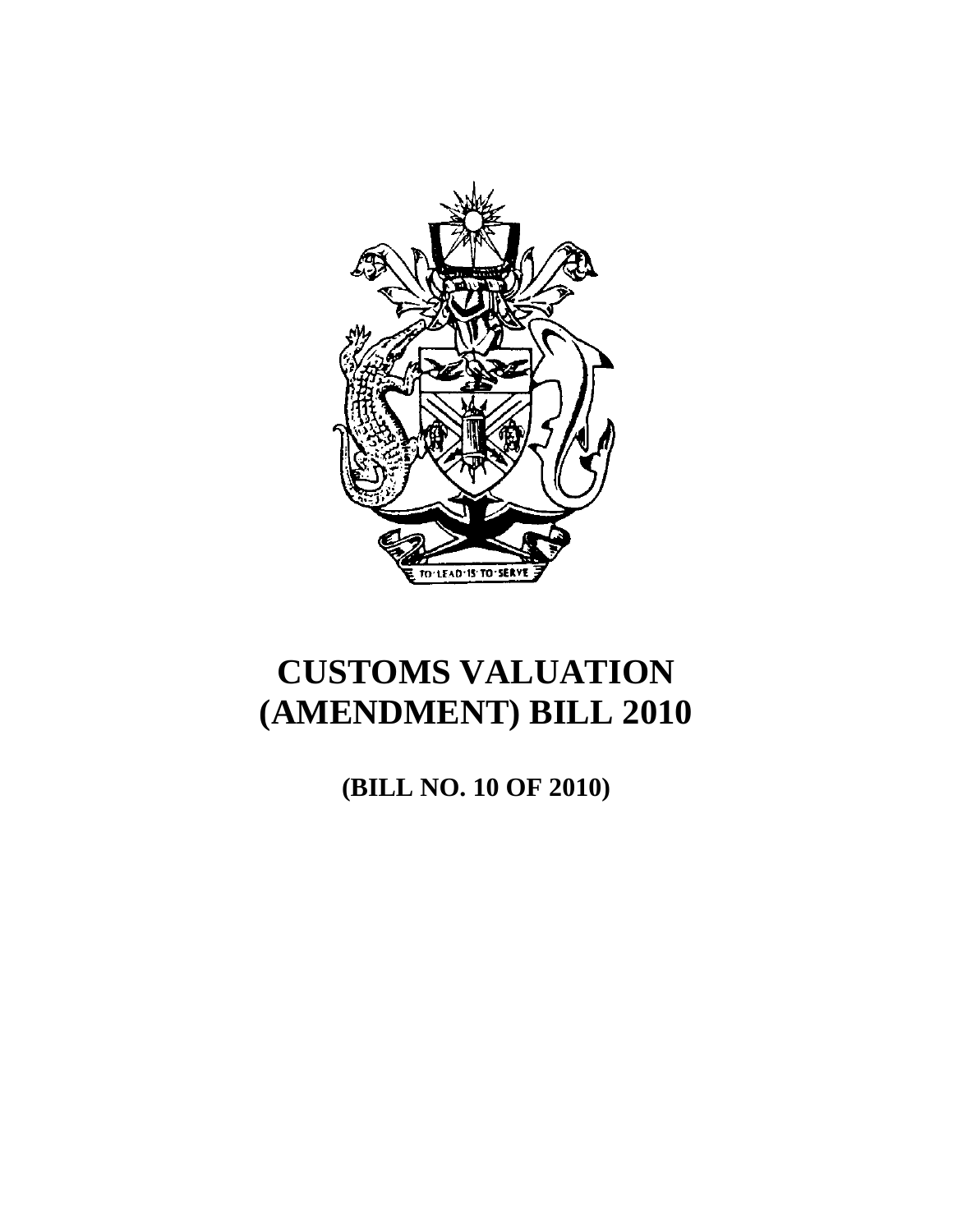

**(BILL NO. 10 OF 2010)**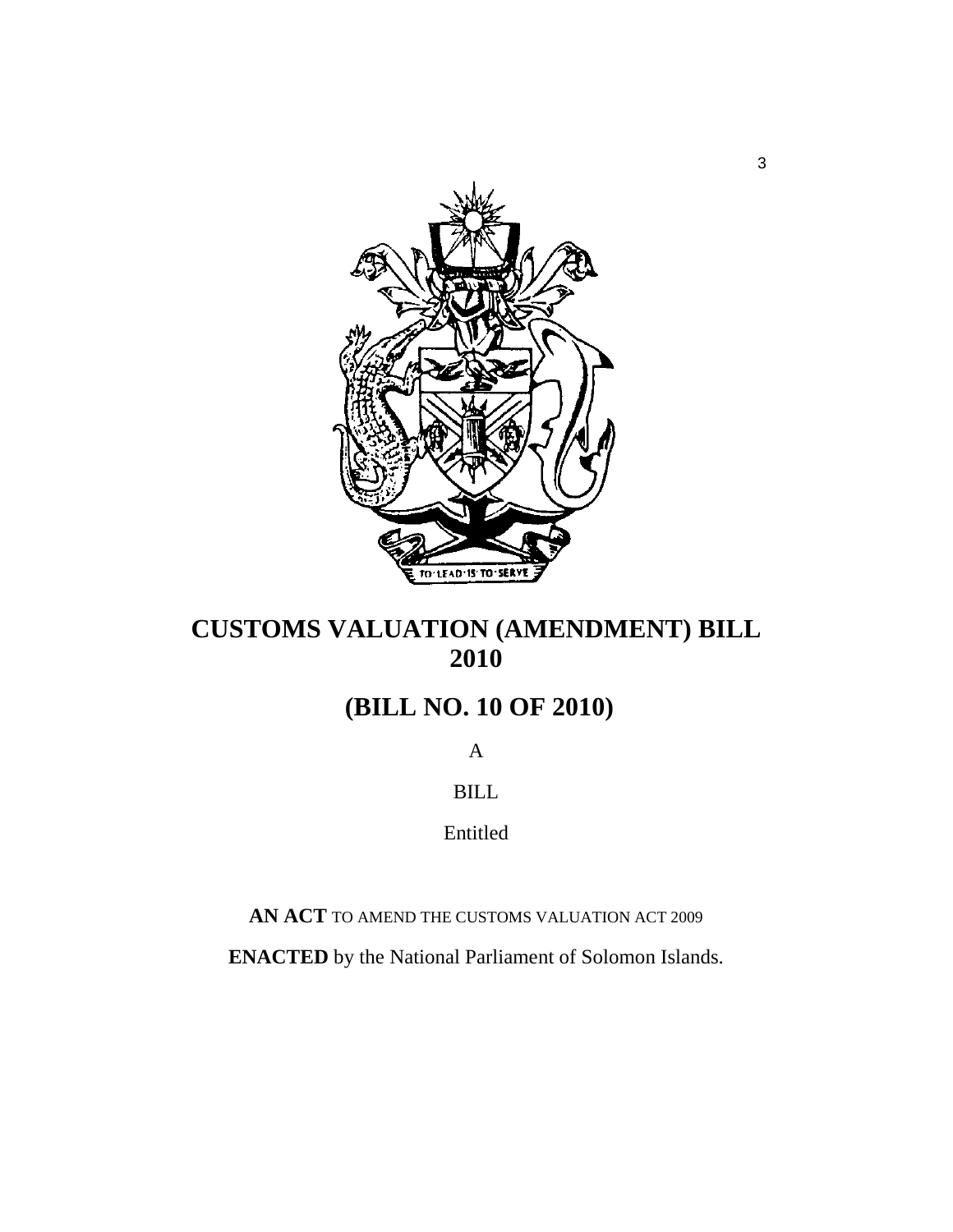

# **(BILL NO. 10 OF 2010)**

A

BILL

Entitled

**AN ACT** TO AMEND THE CUSTOMS VALUATION ACT 2009

**ENACTED** by the National Parliament of Solomon Islands.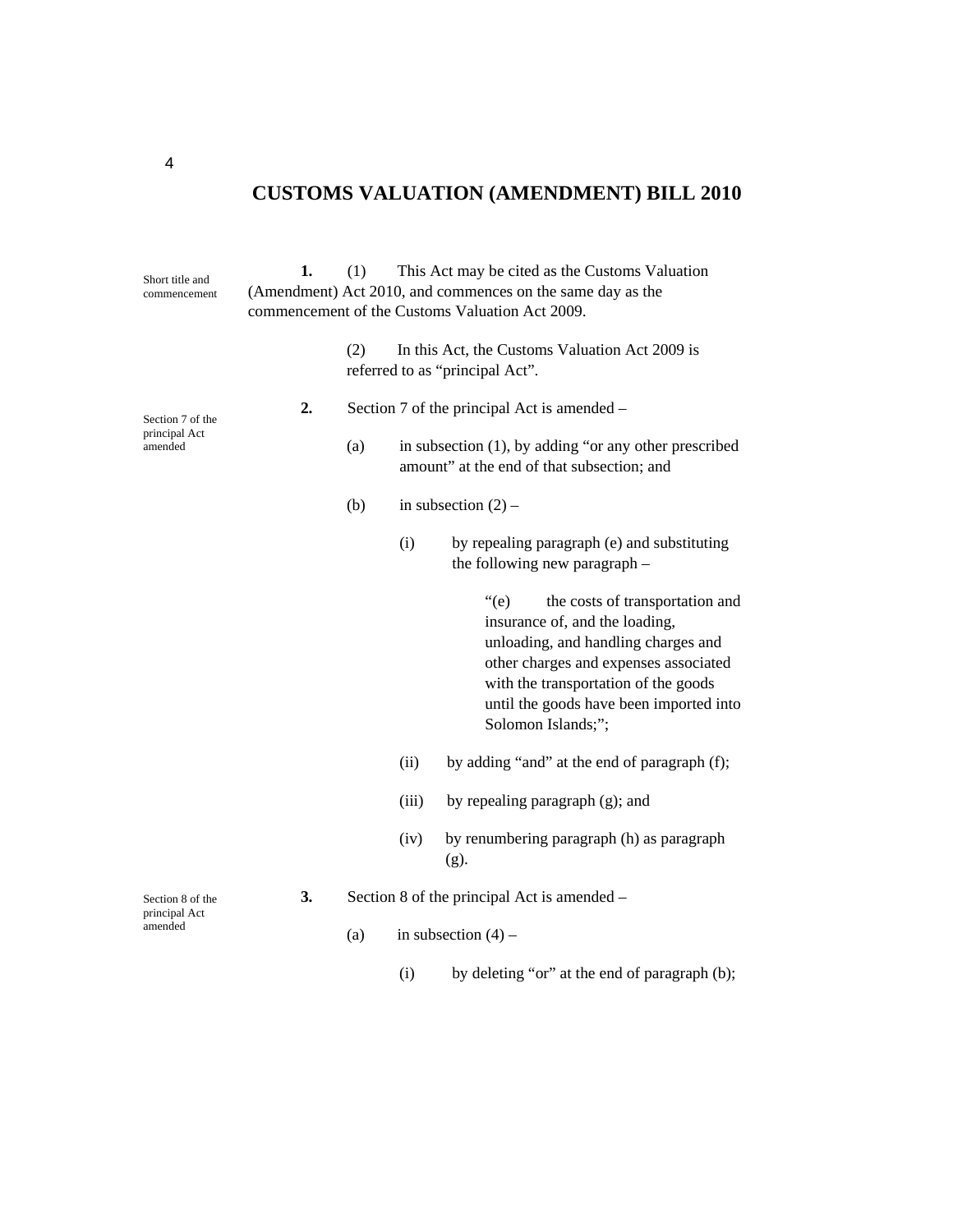| Short title and<br>commencement              | 1. | This Act may be cited as the Customs Valuation<br>(1)<br>(Amendment) Act 2010, and commences on the same day as the<br>commencement of the Customs Valuation Act 2009. |                       |                                                                                                                                                                                                                                                                             |  |  |  |
|----------------------------------------------|----|------------------------------------------------------------------------------------------------------------------------------------------------------------------------|-----------------------|-----------------------------------------------------------------------------------------------------------------------------------------------------------------------------------------------------------------------------------------------------------------------------|--|--|--|
|                                              |    | In this Act, the Customs Valuation Act 2009 is<br>(2)<br>referred to as "principal Act".                                                                               |                       |                                                                                                                                                                                                                                                                             |  |  |  |
| Section 7 of the<br>principal Act<br>amended | 2. | Section 7 of the principal Act is amended –                                                                                                                            |                       |                                                                                                                                                                                                                                                                             |  |  |  |
|                                              |    | (a)                                                                                                                                                                    |                       | in subsection (1), by adding "or any other prescribed<br>amount" at the end of that subsection; and                                                                                                                                                                         |  |  |  |
|                                              |    | (b)                                                                                                                                                                    | in subsection $(2)$ – |                                                                                                                                                                                                                                                                             |  |  |  |
|                                              |    |                                                                                                                                                                        | (i)                   | by repealing paragraph (e) and substituting<br>the following new paragraph -                                                                                                                                                                                                |  |  |  |
|                                              |    |                                                                                                                                                                        |                       | $\degree$ (e)<br>the costs of transportation and<br>insurance of, and the loading,<br>unloading, and handling charges and<br>other charges and expenses associated<br>with the transportation of the goods<br>until the goods have been imported into<br>Solomon Islands;"; |  |  |  |
|                                              |    |                                                                                                                                                                        | (ii)                  | by adding "and" at the end of paragraph (f);                                                                                                                                                                                                                                |  |  |  |
|                                              |    |                                                                                                                                                                        | (iii)                 | by repealing paragraph (g); and                                                                                                                                                                                                                                             |  |  |  |
|                                              |    |                                                                                                                                                                        | (iv)                  | by renumbering paragraph (h) as paragraph<br>$(g)$ .                                                                                                                                                                                                                        |  |  |  |
| Section 8 of the<br>principal Act<br>amended | 3. | Section 8 of the principal Act is amended -                                                                                                                            |                       |                                                                                                                                                                                                                                                                             |  |  |  |
|                                              |    | (a)                                                                                                                                                                    |                       | in subsection $(4)$ –                                                                                                                                                                                                                                                       |  |  |  |
|                                              |    |                                                                                                                                                                        | (i)                   | by deleting "or" at the end of paragraph (b);                                                                                                                                                                                                                               |  |  |  |

4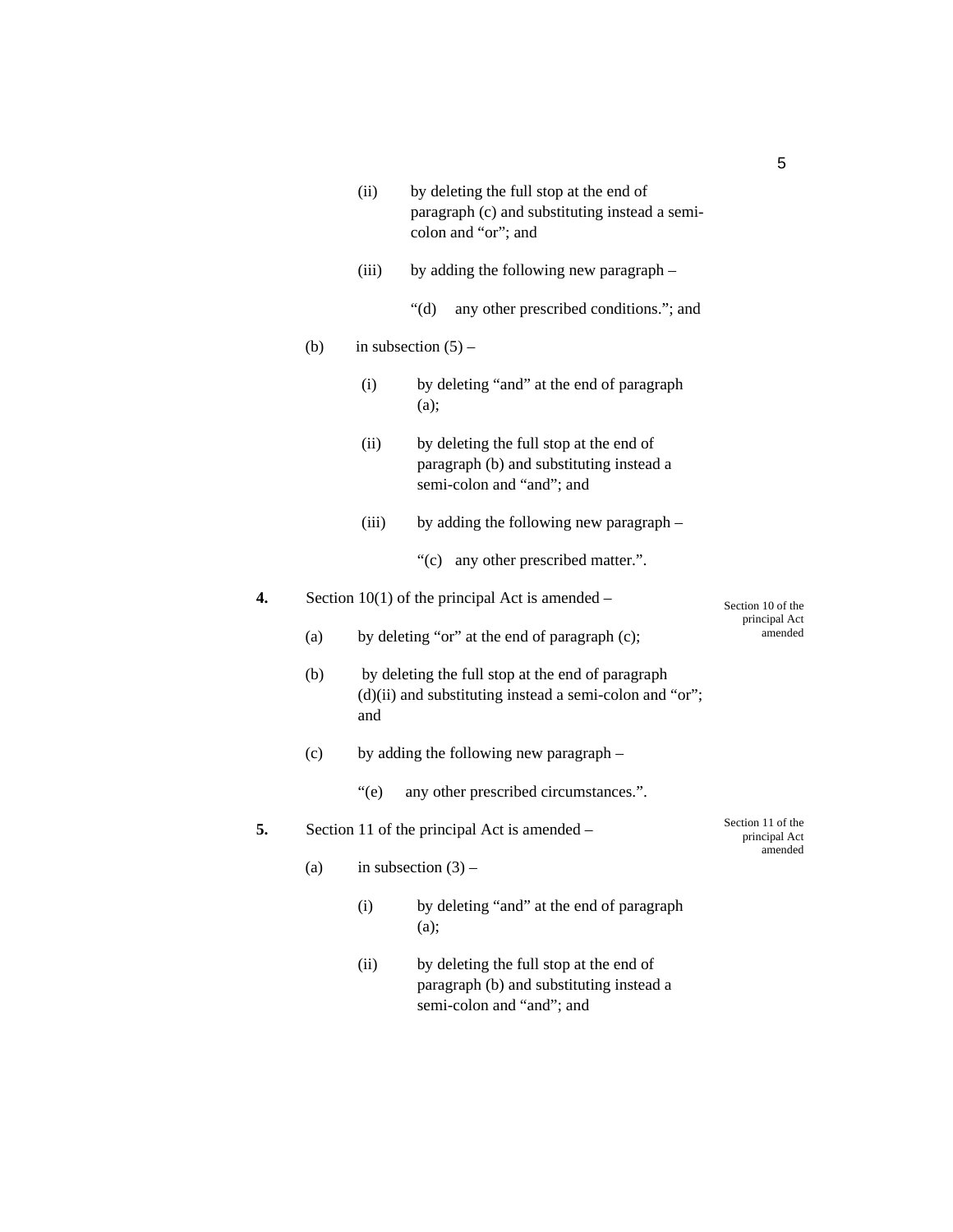|     |     | by deleting the full stop at the end of<br>(ii)<br>paragraph (c) and substituting instead a semi-<br>colon and "or"; and |                                                                                                                  |  |  |  |  |  |
|-----|-----|--------------------------------------------------------------------------------------------------------------------------|------------------------------------------------------------------------------------------------------------------|--|--|--|--|--|
|     |     | (iii)                                                                                                                    | by adding the following new paragraph –                                                                          |  |  |  |  |  |
|     |     |                                                                                                                          | " $(d)$ "<br>any other prescribed conditions."; and                                                              |  |  |  |  |  |
| (b) |     | in subsection $(5)$ –                                                                                                    |                                                                                                                  |  |  |  |  |  |
|     |     | (i)                                                                                                                      |                                                                                                                  |  |  |  |  |  |
|     |     | (ii)<br>by deleting the full stop at the end of<br>paragraph (b) and substituting instead a<br>semi-colon and "and"; and |                                                                                                                  |  |  |  |  |  |
|     |     | (iii)                                                                                                                    | by adding the following new paragraph –                                                                          |  |  |  |  |  |
|     |     |                                                                                                                          | "(c) any other prescribed matter.".                                                                              |  |  |  |  |  |
| 4.  |     | Section $10(1)$ of the principal Act is amended –<br>Section 10 of the                                                   |                                                                                                                  |  |  |  |  |  |
|     | (a) | principal Act<br>amended<br>by deleting "or" at the end of paragraph (c);                                                |                                                                                                                  |  |  |  |  |  |
|     | (b) | and                                                                                                                      | by deleting the full stop at the end of paragraph<br>(d)(ii) and substituting instead a semi-colon and "or";     |  |  |  |  |  |
| (c) |     | by adding the following new paragraph -                                                                                  |                                                                                                                  |  |  |  |  |  |
|     |     | $\degree$ (e)<br>any other prescribed circumstances.".                                                                   |                                                                                                                  |  |  |  |  |  |
| 5.  |     | Section 11 of the<br>Section 11 of the principal Act is amended –<br>principal Act                                       |                                                                                                                  |  |  |  |  |  |
|     | (a) | amended<br>in subsection $(3)$ –                                                                                         |                                                                                                                  |  |  |  |  |  |
|     |     | (i)                                                                                                                      | by deleting "and" at the end of paragraph<br>(a);                                                                |  |  |  |  |  |
|     |     | (ii)                                                                                                                     | by deleting the full stop at the end of<br>paragraph (b) and substituting instead a<br>semi-colon and "and"; and |  |  |  |  |  |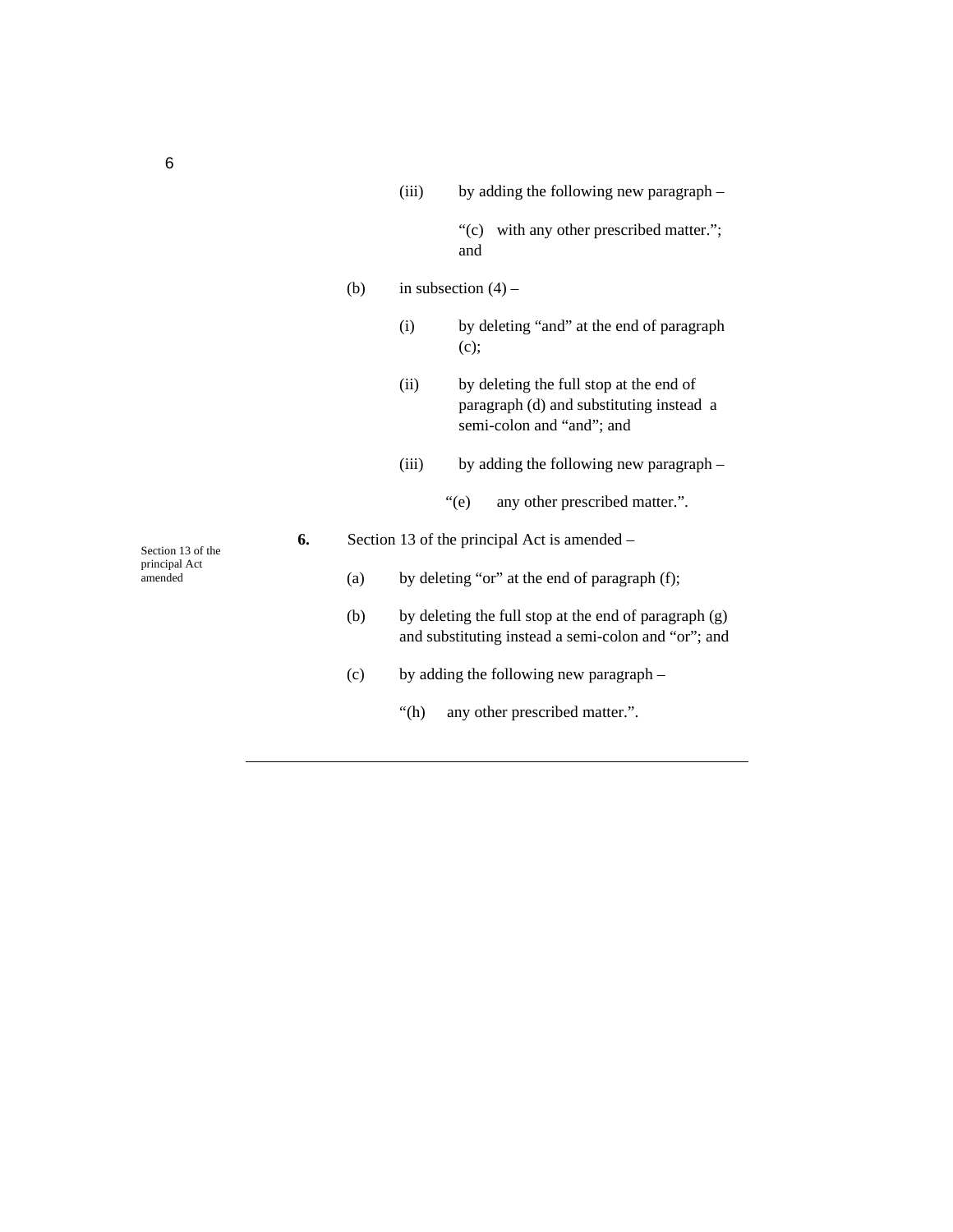|                          |    |                                              | (iii)                                                                                                        | by adding the following new paragraph –                                                                          |
|--------------------------|----|----------------------------------------------|--------------------------------------------------------------------------------------------------------------|------------------------------------------------------------------------------------------------------------------|
|                          |    |                                              |                                                                                                              | with any other prescribed matter.";<br>$\degree$ (c)<br>and                                                      |
|                          |    | (b)                                          |                                                                                                              | in subsection $(4)$ –                                                                                            |
|                          |    |                                              | (i)                                                                                                          | by deleting "and" at the end of paragraph<br>(c);                                                                |
|                          |    |                                              | (ii)                                                                                                         | by deleting the full stop at the end of<br>paragraph (d) and substituting instead a<br>semi-colon and "and"; and |
|                          |    |                                              | (iii)                                                                                                        | by adding the following new paragraph -                                                                          |
|                          |    |                                              |                                                                                                              | $\degree$ (e)<br>any other prescribed matter.".                                                                  |
| Section 13 of the        | 6. | Section 13 of the principal Act is amended – |                                                                                                              |                                                                                                                  |
| principal Act<br>amended |    | (a)                                          |                                                                                                              | by deleting "or" at the end of paragraph (f);                                                                    |
|                          |    | (b)                                          | by deleting the full stop at the end of paragraph (g)<br>and substituting instead a semi-colon and "or"; and |                                                                                                                  |
|                          |    | (c)                                          |                                                                                                              | by adding the following new paragraph -                                                                          |
|                          |    |                                              | " $(h)$                                                                                                      | any other prescribed matter.".                                                                                   |

6